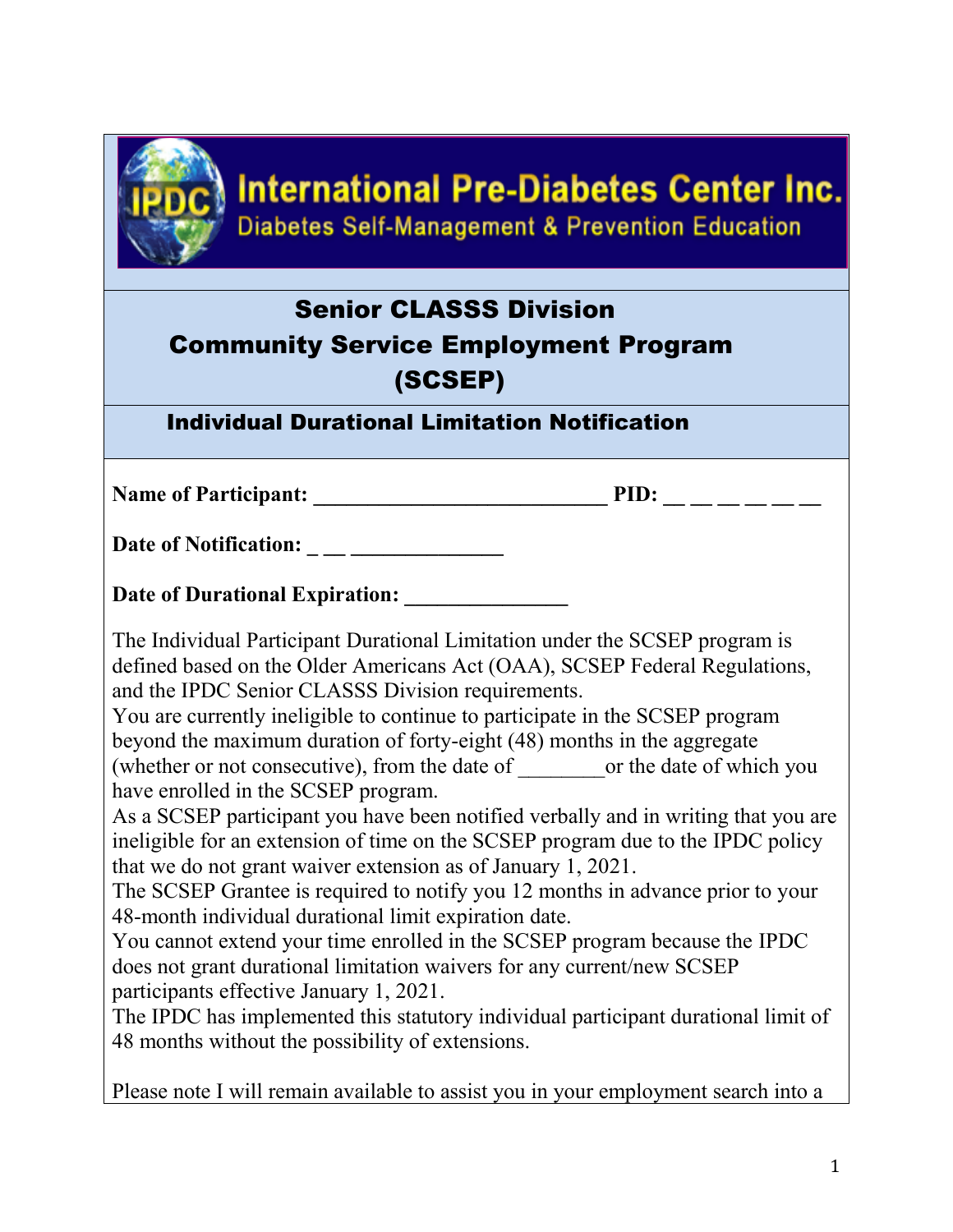

## **International Pre-Diabetes Center Inc. Diabetes Self-Management & Prevention Education**

## Senior CLASSS Division Community Service Employment Program (SCSEP)

## Individual Durational Limitation Notification

Name of Participant: \_\_\_\_\_\_\_\_\_\_\_\_\_\_\_\_\_\_\_\_\_\_\_\_\_\_\_ PID: \_\_ \_\_ \_\_ \_\_ \_\_ \_\_

Date of Notification: \_ \_\_ \_\_\_\_\_\_\_\_\_\_\_\_\_\_

Date of Durational Expiration:

The Individual Participant Durational Limitation under the SCSEP program is defined based on the Older Americans Act (OAA), SCSEP Federal Regulations, and the IPDC Senior CLASSS Division requirements.

You are currently ineligible to continue to participate in the SCSEP program beyond the maximum duration of forty-eight (48) months in the aggregate (whether or not consecutive), from the date of which you or the date of which you have enrolled in the SCSEP program.

As a SCSEP participant you have been notified verbally and in writing that you are ineligible for an extension of time on the SCSEP program due to the IPDC policy that we do not grant waiver extension as of January 1, 2021.

The SCSEP Grantee is required to notify you 12 months in advance prior to your 48-month individual durational limit expiration date.

You cannot extend your time enrolled in the SCSEP program because the IPDC does not grant durational limitation waivers for any current/new SCSEP participants effective January 1, 2021.

The IPDC has implemented this statutory individual participant durational limit of 48 months without the possibility of extensions.

Please note I will remain available to assist you in your employment search into a